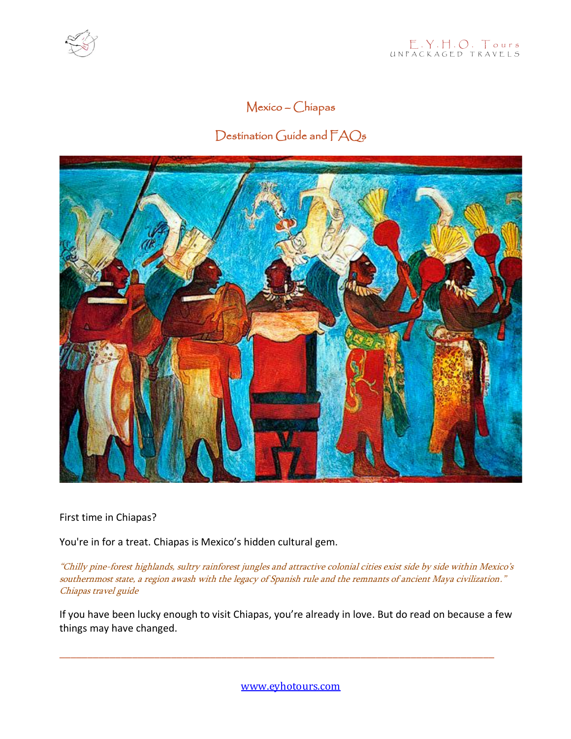

# Mexico – Chiapas

# Destination Guide and  $FAQ_5$



First time in Chiapas?

You're in for a treat. Chiapas is Mexico's hidden cultural gem.

"Chilly pine-forest highlands, sultry rainforest jungles and attractive colonial cities exist side by side within Mexico's southernmost state, a region awash with the legacy of Spanish rule and the remnants of ancient Maya civilization." Chiapas travel guide

If you have been lucky enough to visit Chiapas, you're already in love. But do read on because a few things may have changed.

\_\_\_\_\_\_\_\_\_\_\_\_\_\_\_\_\_\_\_\_\_\_\_\_\_\_\_\_\_\_\_\_\_\_\_\_\_\_\_\_\_\_\_\_\_\_\_\_\_\_\_\_\_\_\_\_\_\_\_\_\_\_\_\_\_\_\_\_\_\_\_\_\_\_\_\_\_\_

[www.eyhotours.com](http://www.eyhotours.com/)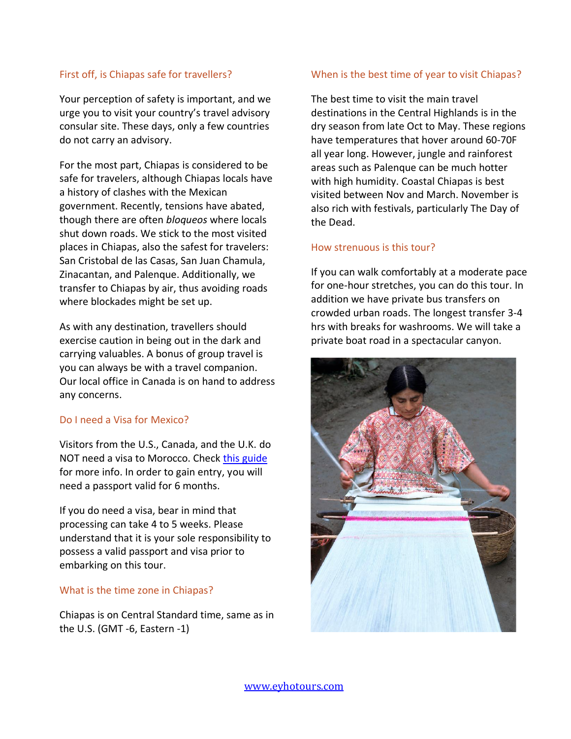#### First off, is Chiapas safe for travellers?

Your perception of safety is important, and we urge you to visit your country's travel advisory consular site. These days, only a few countries do not carry an advisory.

For the most part, Chiapas is considered to be safe for travelers, although Chiapas locals have a history of clashes with the Mexican government. Recently, tensions have abated, though there are often *bloqueos* where locals shut down roads. We stick to the most visited places in Chiapas, also the safest for travelers: San Cristobal de las Casas, San Juan Chamula, Zinacantan, and Palenque. Additionally, we transfer to Chiapas by air, thus avoiding roads where blockades might be set up.

As with any destination, travellers should exercise caution in being out in the dark and carrying valuables. A bonus of group travel is you can always be with a travel companion. Our local office in Canada is on hand to address any concerns.

#### Do I need a Visa for Mexico?

Visitors from the U.S., Canada, and the U.K. do NOT need a visa to Morocco. Check [this guide](https://consulmex.sre.gob.mx/toronto/index.php/en/servicesforeigners/doclegalization/52-conservices/225-visitors-who-do-not-require-a-visa-with-a-stay-up-to-180-days) for more info. In order to gain entry, you will need a passport valid for 6 months.

If you do need a visa, bear in mind that processing can take 4 to 5 weeks. Please understand that it is your sole responsibility to possess a valid passport and visa prior to embarking on this tour.

#### What is the time zone in Chiapas?

Chiapas is on Central Standard time, same as in the U.S. (GMT -6, Eastern -1)

#### When is the best time of year to visit Chiapas?

The best time to visit the main travel destinations in the Central Highlands is in the dry season from late Oct to May. These regions have temperatures that hover around 60-70F all year long. However, jungle and rainforest areas such as Palenque can be much hotter with high humidity. Coastal Chiapas is best visited between Nov and March. November is also rich with festivals, particularly The Day of the Dead.

#### How strenuous is this tour?

If you can walk comfortably at a moderate pace for one-hour stretches, you can do this tour. In addition we have private bus transfers on crowded urban roads. The longest transfer 3-4 hrs with breaks for washrooms. We will take a private boat road in a spectacular canyon.

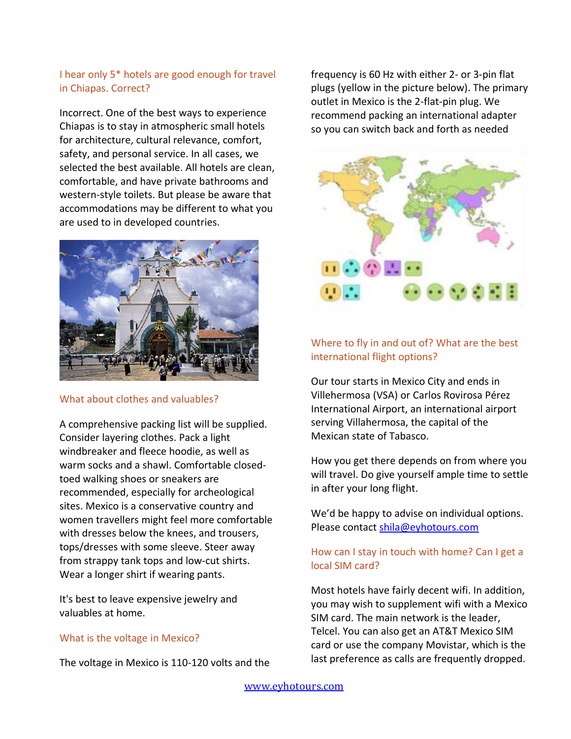# I hear only 5\* hotels are good enough for travel in Chiapas. Correct?

Incorrect. One of the best ways to experience Chiapas is to stay in atmospheric small hotels for architecture, cultural relevance, comfort, safety, and personal service. In all cases, we selected the best available. All hotels are clean, comfortable, and have private bathrooms and western-style toilets. But please be aware that accommodations may be different to what you are used to in developed countries.



#### What about clothes and valuables?

A comprehensive packing list will be supplied. Consider layering clothes. Pack a light windbreaker and fleece hoodie, as well as warm socks and a shawl. Comfortable closedtoed walking shoes or sneakers are recommended, especially for archeological sites. Mexico is a conservative country and women travellers might feel more comfortable with dresses below the knees, and trousers, tops/dresses with some sleeve. Steer away from strappy tank tops and low-cut shirts. Wear a longer shirt if wearing pants.

It's best to leave expensive jewelry and valuables at home.

#### What is the voltage in Mexico?

The voltage in Mexico is 110-120 volts and the

frequency is 60 Hz with either 2- or 3-pin flat plugs (yellow in the picture below). The primary outlet in Mexico is the 2-flat-pin plug. We recommend packing an international adapter so you can switch back and forth as needed



# Where to fly in and out of? What are the best international flight options?

Our tour starts in Mexico City and ends in Villehermosa (VSA) or Carlos Rovirosa Pérez International Airport, an international airport serving Villahermosa, the capital of the Mexican state of Tabasco.

How you get there depends on from where you will travel. Do give yourself ample time to settle in after your long flight.

We'd be happy to advise on individual options. Please contac[t shila@eyhotours.com](mailto:shila@eyhotours.com)

## How can I stay in touch with home? Can I get a local SIM card?

Most hotels have fairly decent wifi. In addition, you may wish to supplement wifi with a Mexico SIM card. The main network is the leader, Telcel. You can also get an AT&T Mexico SIM card or use the company Movistar, which is the last preference as calls are frequently dropped.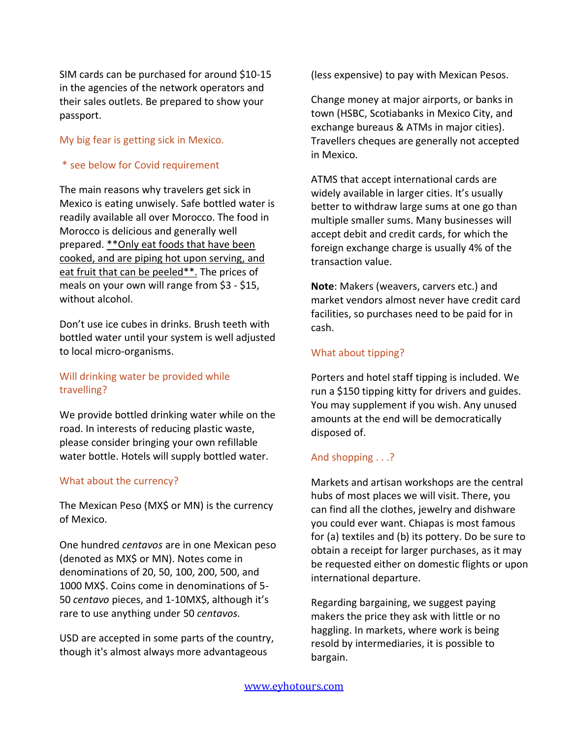SIM cards can be purchased for around \$10-15 in the agencies of the network operators and their sales outlets. Be prepared to show your passport.

#### My big fear is getting sick in Mexico.

## \* see below for Covid requirement

The main reasons why travelers get sick in Mexico is eating unwisely. Safe bottled water is readily available all over Morocco. The food in Morocco is delicious and generally well prepared. \*\*Only eat foods that have been cooked, and are piping hot upon serving, and eat fruit that can be peeled\*\*. The prices of meals on your own will range from \$3 - \$15, without alcohol.

Don't use ice cubes in drinks. Brush teeth with bottled water until your system is well adjusted to local micro-organisms.

# Will drinking water be provided while travelling?

We provide bottled drinking water while on the road. In interests of reducing plastic waste, please consider bringing your own refillable water bottle. Hotels will supply bottled water.

#### What about the currency?

The Mexican Peso (MX\$ or MN) is the currency of Mexico.

One hundred *centavos* are in one Mexican peso (denoted as MX\$ or MN). Notes come in denominations of 20, 50, 100, 200, 500, and 1000 MX\$. Coins come in denominations of 5- 50 *centavo* pieces, and 1-10MX\$, although it's rare to use anything under 50 *centavos.* 

USD are accepted in some parts of the country, though it's almost always more advantageous

(less expensive) to pay with Mexican Pesos.

Change money at major airports, or banks in town (HSBC, Scotiabanks in Mexico City, and exchange bureaus & ATMs in major cities). Travellers cheques are generally not accepted in Mexico.

ATMS that accept international cards are widely available in larger cities. It's usually better to withdraw large sums at one go than multiple smaller sums. Many businesses will accept debit and credit cards, for which the foreign exchange charge is usually 4% of the transaction value.

**Note**: Makers (weavers, carvers etc.) and market vendors almost never have credit card facilities, so purchases need to be paid for in cash.

## What about tipping?

Porters and hotel staff tipping is included. We run a \$150 tipping kitty for drivers and guides. You may supplement if you wish. Any unused amounts at the end will be democratically disposed of.

# And shopping . . .?

Markets and artisan workshops are the central hubs of most places we will visit. There, you can find all the clothes, jewelry and dishware you could ever want. Chiapas is most famous for (a) textiles and (b) its pottery. Do be sure to obtain a receipt for larger purchases, as it may be requested either on domestic flights or upon international departure.

Regarding bargaining, we suggest paying makers the price they ask with little or no haggling. In markets, where work is being resold by intermediaries, it is possible to bargain.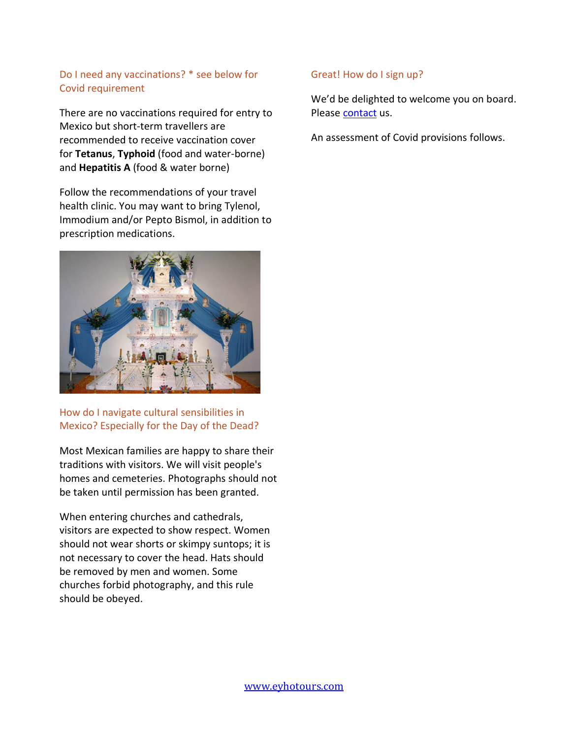# Do I need any vaccinations? \* see below for Covid requirement

There are no vaccinations required for entry to Mexico but short-term travellers are recommended to receive vaccination cover for **Tetanus**, **Typhoid** (food and water-borne) and **Hepatitis A** (food & water borne)

Follow the recommendations of your travel health clinic. You may want to bring Tylenol, Immodium and/or Pepto Bismol, in addition to prescription medications.



# How do I navigate cultural sensibilities in Mexico? Especially for the Day of the Dead?

Most Mexican families are happy to share their traditions with visitors. We will visit people's homes and cemeteries. Photographs should not be taken until permission has been granted.

When entering churches and cathedrals, visitors are expected to show respect. Women should not wear shorts or skimpy suntops; it is not necessary to cover the head. Hats should be removed by men and women. Some churches forbid photography, and this rule should be obeyed.

## Great! How do I sign up?

We'd be delighted to welcome you on board. Pleas[e contact](mailto:shila@eyhotours.com?subject=Take%20me%20away%20to%20Chiapas!) us.

An assessment of Covid provisions follows.